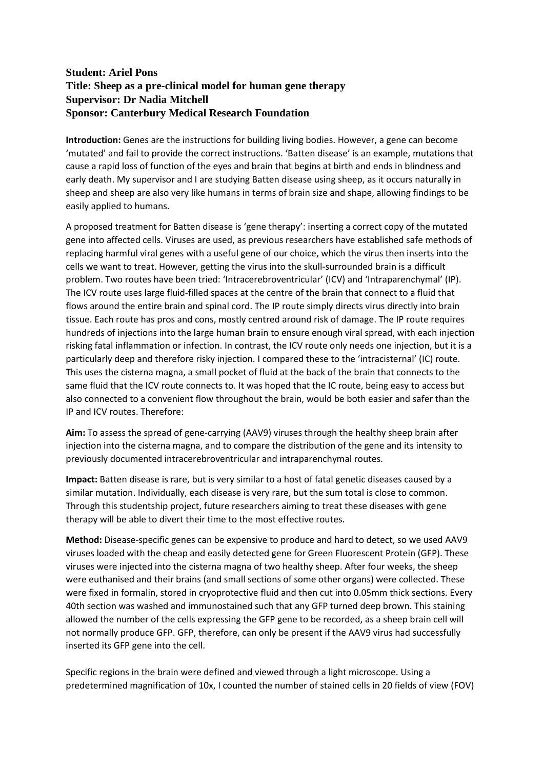## **Student: Ariel Pons Title: Sheep as a pre-clinical model for human gene therapy Supervisor: Dr Nadia Mitchell Sponsor: Canterbury Medical Research Foundation**

**Introduction:** Genes are the instructions for building living bodies. However, a gene can become 'mutated' and fail to provide the correct instructions. 'Batten disease' is an example, mutations that cause a rapid loss of function of the eyes and brain that begins at birth and ends in blindness and early death. My supervisor and I are studying Batten disease using sheep, as it occurs naturally in sheep and sheep are also very like humans in terms of brain size and shape, allowing findings to be easily applied to humans.

A proposed treatment for Batten disease is 'gene therapy': inserting a correct copy of the mutated gene into affected cells. Viruses are used, as previous researchers have established safe methods of replacing harmful viral genes with a useful gene of our choice, which the virus then inserts into the cells we want to treat. However, getting the virus into the skull-surrounded brain is a difficult problem. Two routes have been tried: 'Intracerebroventricular' (ICV) and 'Intraparenchymal' (IP). The ICV route uses large fluid-filled spaces at the centre of the brain that connect to a fluid that flows around the entire brain and spinal cord. The IP route simply directs virus directly into brain tissue. Each route has pros and cons, mostly centred around risk of damage. The IP route requires hundreds of injections into the large human brain to ensure enough viral spread, with each injection risking fatal inflammation or infection. In contrast, the ICV route only needs one injection, but it is a particularly deep and therefore risky injection. I compared these to the 'intracisternal' (IC) route. This uses the cisterna magna, a small pocket of fluid at the back of the brain that connects to the same fluid that the ICV route connects to. It was hoped that the IC route, being easy to access but also connected to a convenient flow throughout the brain, would be both easier and safer than the IP and ICV routes. Therefore:

**Aim:** To assess the spread of gene-carrying (AAV9) viruses through the healthy sheep brain after injection into the cisterna magna, and to compare the distribution of the gene and its intensity to previously documented intracerebroventricular and intraparenchymal routes.

**Impact:** Batten disease is rare, but is very similar to a host of fatal genetic diseases caused by a similar mutation. Individually, each disease is very rare, but the sum total is close to common. Through this studentship project, future researchers aiming to treat these diseases with gene therapy will be able to divert their time to the most effective routes.

**Method:** Disease-specific genes can be expensive to produce and hard to detect, so we used AAV9 viruses loaded with the cheap and easily detected gene for Green Fluorescent Protein (GFP). These viruses were injected into the cisterna magna of two healthy sheep. After four weeks, the sheep were euthanised and their brains (and small sections of some other organs) were collected. These were fixed in formalin, stored in cryoprotective fluid and then cut into 0.05mm thick sections. Every 40th section was washed and immunostained such that any GFP turned deep brown. This staining allowed the number of the cells expressing the GFP gene to be recorded, as a sheep brain cell will not normally produce GFP. GFP, therefore, can only be present if the AAV9 virus had successfully inserted its GFP gene into the cell.

Specific regions in the brain were defined and viewed through a light microscope. Using a predetermined magnification of 10x, I counted the number of stained cells in 20 fields of view (FOV)